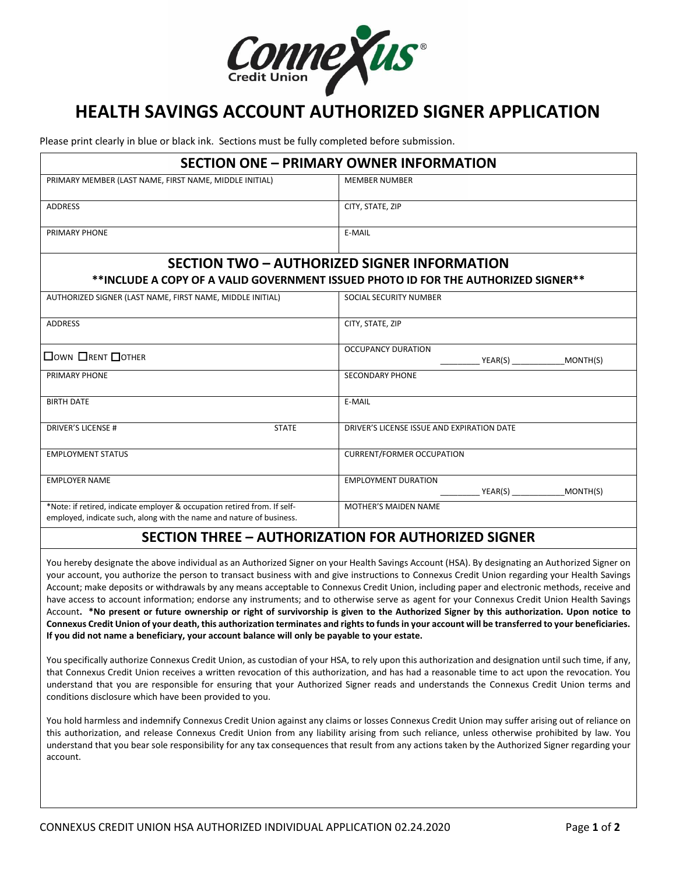

## **HEALTH SAVINGS ACCOUNT AUTHORIZED SIGNER APPLICATION**

Please print clearly in blue or black ink. Sections must be fully completed before submission.

| <b>SECTION ONE - PRIMARY OWNER INFORMATION</b>                                                                                                   |                                                                                    |  |  |
|--------------------------------------------------------------------------------------------------------------------------------------------------|------------------------------------------------------------------------------------|--|--|
| PRIMARY MEMBER (LAST NAME, FIRST NAME, MIDDLE INITIAL)                                                                                           | <b>MEMBER NUMBER</b>                                                               |  |  |
| <b>ADDRESS</b>                                                                                                                                   | CITY, STATE, ZIP                                                                   |  |  |
| PRIMARY PHONE                                                                                                                                    | E-MAIL                                                                             |  |  |
|                                                                                                                                                  | <b>SECTION TWO - AUTHORIZED SIGNER INFORMATION</b>                                 |  |  |
|                                                                                                                                                  | **INCLUDE A COPY OF A VALID GOVERNMENT ISSUED PHOTO ID FOR THE AUTHORIZED SIGNER** |  |  |
| AUTHORIZED SIGNER (LAST NAME, FIRST NAME, MIDDLE INITIAL)                                                                                        | SOCIAL SECURITY NUMBER                                                             |  |  |
| <b>ADDRESS</b>                                                                                                                                   | CITY, STATE, ZIP                                                                   |  |  |
| $\Box$ OWN $\Box$ RENT $\Box$ OTHER                                                                                                              | <b>OCCUPANCY DURATION</b><br>YEAR(S) MONTH(S)                                      |  |  |
| PRIMARY PHONE                                                                                                                                    | <b>SECONDARY PHONE</b>                                                             |  |  |
| <b>BIRTH DATE</b>                                                                                                                                | E-MAIL                                                                             |  |  |
| <b>DRIVER'S LICENSE #</b><br><b>STATE</b>                                                                                                        | DRIVER'S LICENSE ISSUE AND EXPIRATION DATE                                         |  |  |
| <b>EMPLOYMENT STATUS</b>                                                                                                                         | <b>CURRENT/FORMER OCCUPATION</b>                                                   |  |  |
| <b>EMPLOYER NAME</b>                                                                                                                             | <b>EMPLOYMENT DURATION</b><br>YEAR(S) MONTH(S)                                     |  |  |
| *Note: if retired, indicate employer & occupation retired from. If self-<br>employed, indicate such, along with the name and nature of business. | <b>MOTHER'S MAIDEN NAME</b>                                                        |  |  |

## **SECTION THREE – AUTHORIZATION FOR AUTHORIZED SIGNER**

You hereby designate the above individual as an Authorized Signer on your Health Savings Account (HSA). By designating an Authorized Signer on your account, you authorize the person to transact business with and give instructions to Connexus Credit Union regarding your Health Savings Account; make deposits or withdrawals by any means acceptable to Connexus Credit Union, including paper and electronic methods, receive and have access to account information; endorse any instruments; and to otherwise serve as agent for your Connexus Credit Union Health Savings Account**. \*No present or future ownership or right of survivorship is given to the Authorized Signer by this authorization. Upon notice to Connexus Credit Union of your death, this authorization terminates and rights to funds in your account will be transferred to your beneficiaries. If you did not name a beneficiary, your account balance will only be payable to your estate.**

You specifically authorize Connexus Credit Union, as custodian of your HSA, to rely upon this authorization and designation until such time, if any, that Connexus Credit Union receives a written revocation of this authorization, and has had a reasonable time to act upon the revocation. You understand that you are responsible for ensuring that your Authorized Signer reads and understands the Connexus Credit Union terms and conditions disclosure which have been provided to you.

You hold harmless and indemnify Connexus Credit Union against any claims or losses Connexus Credit Union may suffer arising out of reliance on this authorization, and release Connexus Credit Union from any liability arising from such reliance, unless otherwise prohibited by law. You understand that you bear sole responsibility for any tax consequences that result from any actions taken by the Authorized Signer regarding your account.